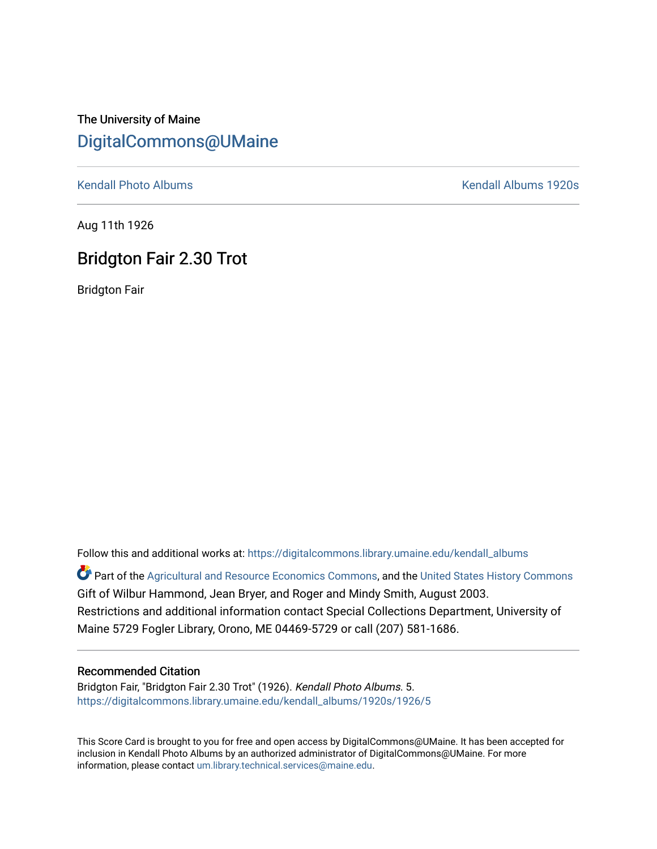## The University of Maine [DigitalCommons@UMaine](https://digitalcommons.library.umaine.edu/)

[Kendall Photo Albums](https://digitalcommons.library.umaine.edu/kendall_albums) **Kendall Albums 1920s** 

Aug 11th 1926

## Bridgton Fair 2.30 Trot

Bridgton Fair

Follow this and additional works at: [https://digitalcommons.library.umaine.edu/kendall\\_albums](https://digitalcommons.library.umaine.edu/kendall_albums?utm_source=digitalcommons.library.umaine.edu%2Fkendall_albums%2F1920s%2F1926%2F5&utm_medium=PDF&utm_campaign=PDFCoverPages)  Part of the [Agricultural and Resource Economics Commons,](http://network.bepress.com/hgg/discipline/317?utm_source=digitalcommons.library.umaine.edu%2Fkendall_albums%2F1920s%2F1926%2F5&utm_medium=PDF&utm_campaign=PDFCoverPages) and the [United States History Commons](http://network.bepress.com/hgg/discipline/495?utm_source=digitalcommons.library.umaine.edu%2Fkendall_albums%2F1920s%2F1926%2F5&utm_medium=PDF&utm_campaign=PDFCoverPages) Gift of Wilbur Hammond, Jean Bryer, and Roger and Mindy Smith, August 2003. Restrictions and additional information contact Special Collections Department, University of Maine 5729 Fogler Library, Orono, ME 04469-5729 or call (207) 581-1686.

## Recommended Citation

Bridgton Fair, "Bridgton Fair 2.30 Trot" (1926). Kendall Photo Albums. 5. [https://digitalcommons.library.umaine.edu/kendall\\_albums/1920s/1926/5](https://digitalcommons.library.umaine.edu/kendall_albums/1920s/1926/5?utm_source=digitalcommons.library.umaine.edu%2Fkendall_albums%2F1920s%2F1926%2F5&utm_medium=PDF&utm_campaign=PDFCoverPages) 

This Score Card is brought to you for free and open access by DigitalCommons@UMaine. It has been accepted for inclusion in Kendall Photo Albums by an authorized administrator of DigitalCommons@UMaine. For more information, please contact [um.library.technical.services@maine.edu](mailto:um.library.technical.services@maine.edu).